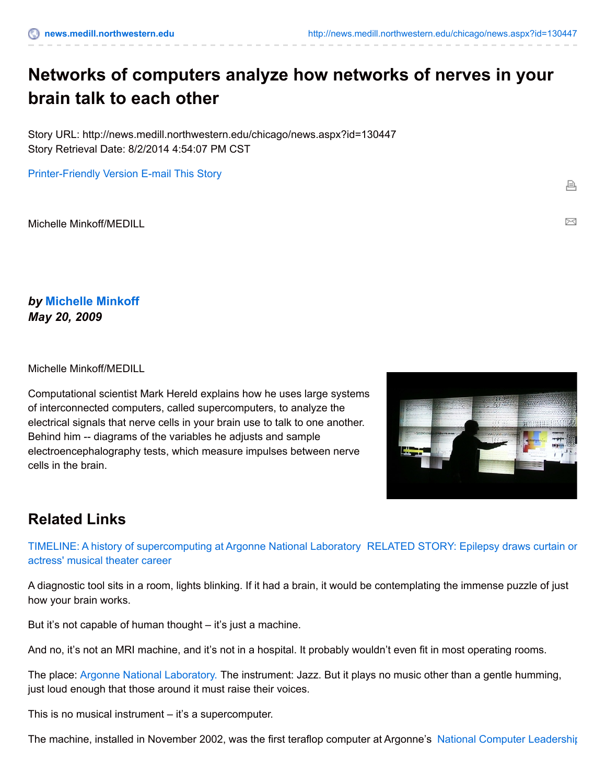## **Networks of computers analyze how networks of nerves in your brain talk to each other**

Story URL: http://news.medill.northwestern.edu/chicago/news.aspx?id=130447 Story Retrieval Date: 8/2/2014 4:54:07 PM CST

[Printer-Friendly](http://news.medill.northwestern.edu/chicago/news.aspx?id=130447&print=1) Version [E-mail](http://news.medill.northwestern.edu/chicago/emailFriend.aspx?id=MTMwNDQ3) This Story

Michelle Minkoff/MEDILL

*by* **[Michelle](http://news.medill.northwestern.edu/WorkArea/linkit.aspx?LinkIdentifier=id&ItemID=101755) Minkoff** *May 20, 2009*

Michelle Minkoff/MEDILL

Computational scientist Mark Hereld explains how he uses large systems of interconnected computers, called supercomputers, to analyze the electrical signals that nerve cells in your brain use to talk to one another. Behind him -- diagrams of the variables he adjusts and sample electroencephalography tests, which measure impulses between nerve cells in the brain.



髙

⊠

## **Related Links**

TIMELINE: A history of [supercomputing](http://news.medill.northwestern.edu/WorkArea/linkit.aspx?LinkIdentifier=id&ItemID=130451) at Argonne National Laboratory RELATED STORY: Epilepsy draws curtain on actress' musical theater career

A diagnostic tool sits in a room, lights blinking. If it had a brain, it would be contemplating the immense puzzle of just how your brain works.

But it's not capable of human thought – it's just a machine.

And no, it's not an MRI machine, and it's not in a hospital. It probably wouldn't even fit in most operating rooms.

The place: Argonne National [Laboratory.](http://www.anl.gov/) The instrument: Jazz. But it plays no music other than a gentle humming, just loud enough that those around it must raise their voices.

This is no musical instrument – it's a supercomputer.

The machine, installed in November 2002, was the first teraflop computer at Argonne's National Computer [Leadership](http://www.alcf.anl.gov/)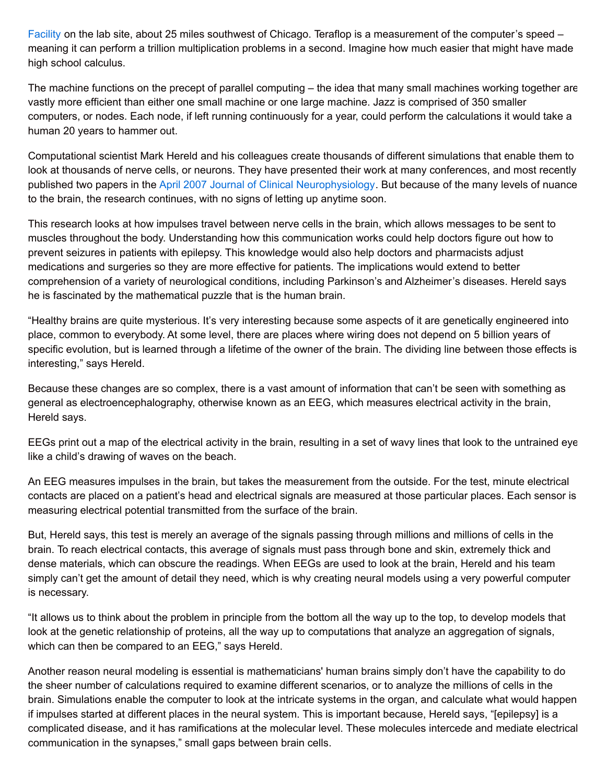Facility on the lab site, about 25 miles southwest of Chicago. Teraflop is a measurement of the computer's speed – meaning it can perform a trillion multiplication problems in a second. Imagine how much easier that might have made high school calculus.

The machine functions on the precept of parallel computing – the idea that many small machines working together are vastly more efficient than either one small machine or one large machine. Jazz is comprised of 350 smaller computers, or nodes. Each node, if left running continuously for a year, could perform the calculations it would take a human 20 years to hammer out.

Computational scientist Mark Hereld and his colleagues create thousands of different simulations that enable them to look at thousands of nerve cells, or neurons. They have presented their work at many conferences, and most recently published two papers in the April 2007 Journal of Clinical [Neurophysiology](http://www.clinicalneurophys.com/pt/re/jclnneurophys/toc.00004691-200704000-00000.htm;jsessionid=KJyJYxTyXbyKJY2CM5Q7kbT6vG4x4Cnp2S1Xl2QyW7dTMfxnHBZK%21-1775402713%21181195628%218091%21-1). But because of the many levels of nuance to the brain, the research continues, with no signs of letting up anytime soon.

This research looks at how impulses travel between nerve cells in the brain, which allows messages to be sent to muscles throughout the body. Understanding how this communication works could help doctors figure out how to prevent seizures in patients with epilepsy. This knowledge would also help doctors and pharmacists adjust medications and surgeries so they are more effective for patients. The implications would extend to better comprehension of a variety of neurological conditions, including Parkinson's and Alzheimer's diseases. Hereld says he is fascinated by the mathematical puzzle that is the human brain.

"Healthy brains are quite mysterious. It's very interesting because some aspects of it are genetically engineered into place, common to everybody. At some level, there are places where wiring does not depend on 5 billion years of specific evolution, but is learned through a lifetime of the owner of the brain. The dividing line between those effects is interesting," says Hereld.

Because these changes are so complex, there is a vast amount of information that can't be seen with something as general as electroencephalography, otherwise known as an EEG, which measures electrical activity in the brain, Hereld says.

EEGs print out a map of the electrical activity in the brain, resulting in a set of wavy lines that look to the untrained eye like a child's drawing of waves on the beach.

An EEG measures impulses in the brain, but takes the measurement from the outside. For the test, minute electrical contacts are placed on a patient's head and electrical signals are measured at those particular places. Each sensor is measuring electrical potential transmitted from the surface of the brain.

But, Hereld says, this test is merely an average of the signals passing through millions and millions of cells in the brain. To reach electrical contacts, this average of signals must pass through bone and skin, extremely thick and dense materials, which can obscure the readings. When EEGs are used to look at the brain, Hereld and his team simply can't get the amount of detail they need, which is why creating neural models using a very powerful computer is necessary.

"It allows us to think about the problem in principle from the bottom all the way up to the top, to develop models that look at the genetic relationship of proteins, all the way up to computations that analyze an aggregation of signals, which can then be compared to an EEG," says Hereld.

Another reason neural modeling is essential is mathematicians' human brains simply don't have the capability to do the sheer number of calculations required to examine different scenarios, or to analyze the millions of cells in the brain. Simulations enable the computer to look at the intricate systems in the organ, and calculate what would happen if impulses started at different places in the neural system. This is important because, Hereld says, "[epilepsy] is a complicated disease, and it has ramifications at the molecular level. These molecules intercede and mediate electrical communication in the synapses," small gaps between brain cells.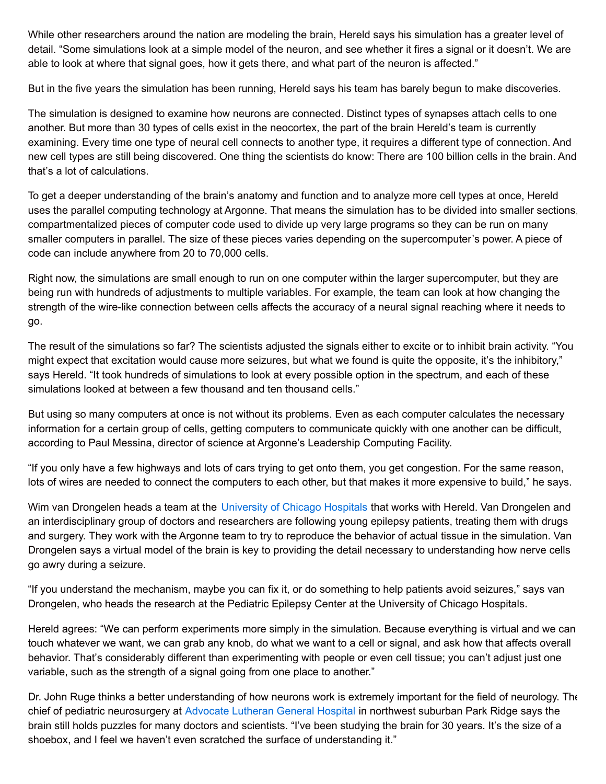While other researchers around the nation are modeling the brain, Hereld says his simulation has a greater level of detail. "Some simulations look at a simple model of the neuron, and see whether it fires a signal or it doesn't. We are able to look at where that signal goes, how it gets there, and what part of the neuron is affected."

But in the five years the simulation has been running, Hereld says his team has barely begun to make discoveries.

The simulation is designed to examine how neurons are connected. Distinct types of synapses attach cells to one another. But more than 30 types of cells exist in the neocortex, the part of the brain Hereld's team is currently examining. Every time one type of neural cell connects to another type, it requires a different type of connection. And new cell types are still being discovered. One thing the scientists do know: There are 100 billion cells in the brain. And that's a lot of calculations.

To get a deeper understanding of the brain's anatomy and function and to analyze more cell types at once, Hereld uses the parallel computing technology at Argonne. That means the simulation has to be divided into smaller sections, compartmentalized pieces of computer code used to divide up very large programs so they can be run on many smaller computers in parallel. The size of these pieces varies depending on the supercomputer's power. A piece of code can include anywhere from 20 to 70,000 cells.

Right now, the simulations are small enough to run on one computer within the larger supercomputer, but they are being run with hundreds of adjustments to multiple variables. For example, the team can look at how changing the strength of the wire-like connection between cells affects the accuracy of a neural signal reaching where it needs to go.

The result of the simulations so far? The scientists adjusted the signals either to excite or to inhibit brain activity. "You might expect that excitation would cause more seizures, but what we found is quite the opposite, it's the inhibitory," says Hereld. "It took hundreds of simulations to look at every possible option in the spectrum, and each of these simulations looked at between a few thousand and ten thousand cells."

But using so many computers at once is not without its problems. Even as each computer calculates the necessary information for a certain group of cells, getting computers to communicate quickly with one another can be difficult, according to Paul Messina, director of science at Argonne's Leadership Computing Facility.

"If you only have a few highways and lots of cars trying to get onto them, you get congestion. For the same reason, lots of wires are needed to connect the computers to each other, but that makes it more expensive to build," he says.

Wim van Drongelen heads a team at the [University](http://www.uchospitals.edu/) of Chicago Hospitals that works with Hereld. Van Drongelen and an interdisciplinary group of doctors and researchers are following young epilepsy patients, treating them with drugs and surgery. They work with the Argonne team to try to reproduce the behavior of actual tissue in the simulation. Van Drongelen says a virtual model of the brain is key to providing the detail necessary to understanding how nerve cells go awry during a seizure.

"If you understand the mechanism, maybe you can fix it, or do something to help patients avoid seizures," says van Drongelen, who heads the research at the Pediatric Epilepsy Center at the University of Chicago Hospitals.

Hereld agrees: "We can perform experiments more simply in the simulation. Because everything is virtual and we can touch whatever we want, we can grab any knob, do what we want to a cell or signal, and ask how that affects overall behavior. That's considerably different than experimenting with people or even cell tissue; you can't adjust just one variable, such as the strength of a signal going from one place to another."

Dr. John Ruge thinks a better understanding of how neurons work is extremely important for the field of neurology. The chief of pediatric neurosurgery at [Advocate](http://www.advocatehealth.com/luth/) Lutheran General Hospital in northwest suburban Park Ridge says the brain still holds puzzles for many doctors and scientists. "I've been studying the brain for 30 years. It's the size of a shoebox, and I feel we haven't even scratched the surface of understanding it."